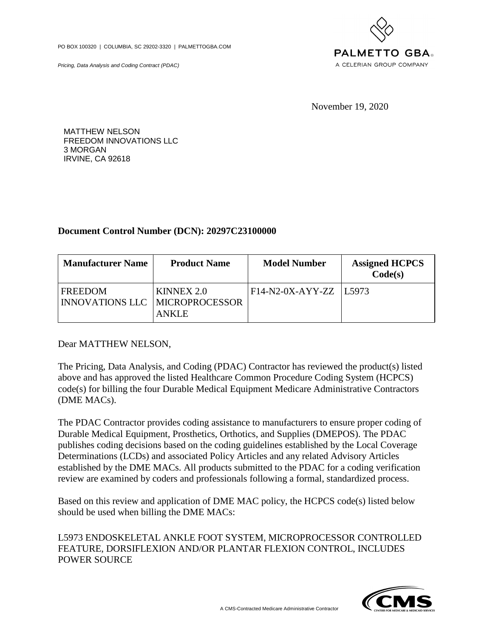PO BOX 100320 | COLUMBIA, SC 29202-3320 | PALMETTOGBA.COM

Pricing, Data Analysis and Coding Contract (PDAC)



November 19, 2020

MATTHEW NELSON FREEDOM INNOVATIONS LLC 3 MORGAN IRVINE, CA 92618

## **Document Control Number (DCN): 20297C23100000**

| <b>Manufacturer Name</b>                         | <b>Product Name</b>        | <b>Model Number</b>        | <b>Assigned HCPCS</b><br>Code(s) |
|--------------------------------------------------|----------------------------|----------------------------|----------------------------------|
| FREEDOM<br><b>INNOVATIONS LLC MICROPROCESSOR</b> | KINNEX 2.0<br><b>ANKLE</b> | $F14-N2-0X-AYY-ZZ$   L5973 |                                  |

Dear MATTHEW NELSON,

The Pricing, Data Analysis, and Coding (PDAC) Contractor has reviewed the product(s) listed above and has approved the listed Healthcare Common Procedure Coding System (HCPCS) code(s) for billing the four Durable Medical Equipment Medicare Administrative Contractors (DME MACs).

The PDAC Contractor provides coding assistance to manufacturers to ensure proper coding of Durable Medical Equipment, Prosthetics, Orthotics, and Supplies (DMEPOS). The PDAC publishes coding decisions based on the coding guidelines established by the Local Coverage Determinations (LCDs) and associated Policy Articles and any related Advisory Articles established by the DME MACs. All products submitted to the PDAC for a coding verification review are examined by coders and professionals following a formal, standardized process.

Based on this review and application of DME MAC policy, the HCPCS code(s) listed below should be used when billing the DME MACs:

L5973 ENDOSKELETAL ANKLE FOOT SYSTEM, MICROPROCESSOR CONTROLLED FEATURE, DORSIFLEXION AND/OR PLANTAR FLEXION CONTROL, INCLUDES POWER SOURCE